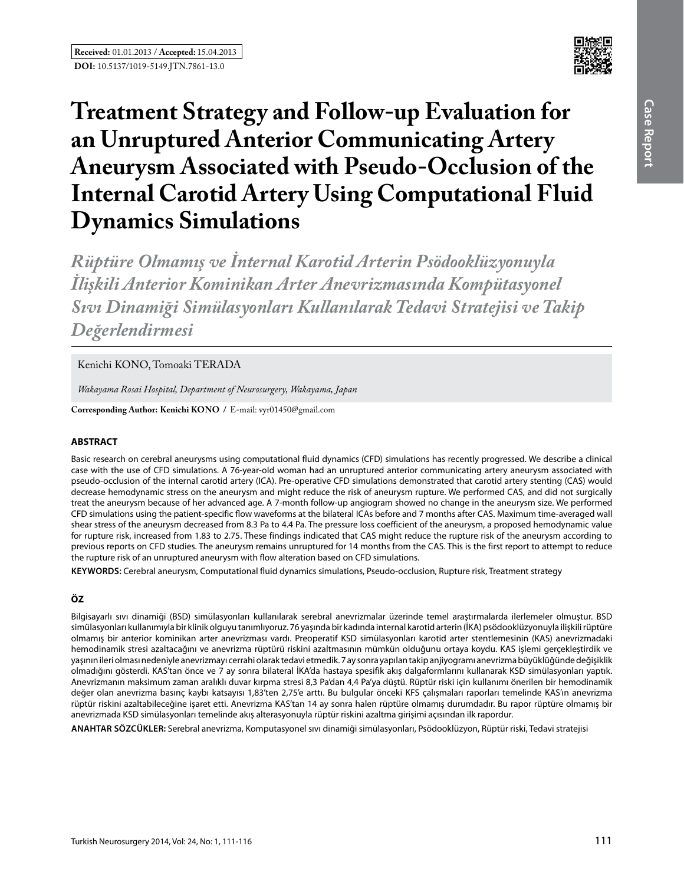

# **Treatment Strategy and Follow-up Evaluation for an Unruptured Anterior Communicating Artery Aneurysm Associated with Pseudo-Occlusion of the Internal Carotid Artery Using Computational Fluid Dynamics Simulations**

*Rüptüre Olmamış ve İnternal Karotid Arterin Psödooklüzyonuyla İlişkili Anterior Kominikan Arter Anevrizmasında Kompütasyonel Sıvı Dinamiği Simülasyonları Kullanılarak Tedavi Stratejisi ve Takip Değerlendirmesi*

# Kenichi KONO, Tomoaki TERADA

*Wakayama Rosai Hospital, Department of Neurosurgery, Wakayama, Japan*

**Corresponding Author: Kenichi Kono /** E-mail: vyr01450@gmail.com

## **ABSTRACT**

Basic research on cerebral aneurysms using computational fluid dynamics (CFD) simulations has recently progressed. We describe a clinical case with the use of CFD simulations. A 76-year-old woman had an unruptured anterior communicating artery aneurysm associated with pseudo-occlusion of the internal carotid artery (ICA). Pre-operative CFD simulations demonstrated that carotid artery stenting (CAS) would decrease hemodynamic stress on the aneurysm and might reduce the risk of aneurysm rupture. We performed CAS, and did not surgically treat the aneurysm because of her advanced age. A 7-month follow-up angiogram showed no change in the aneurysm size. We performed CFD simulations using the patient-specific flow waveforms at the bilateral ICAs before and 7 months after CAS. Maximum time-averaged wall shear stress of the aneurysm decreased from 8.3 Pa to 4.4 Pa. The pressure loss coefficient of the aneurysm, a proposed hemodynamic value for rupture risk, increased from 1.83 to 2.75. These findings indicated that CAS might reduce the rupture risk of the aneurysm according to previous reports on CFD studies. The aneurysm remains unruptured for 14 months from the CAS. This is the first report to attempt to reduce the rupture risk of an unruptured aneurysm with flow alteration based on CFD simulations.

**Keywords:** Cerebral aneurysm, Computational fluid dynamics simulations, Pseudo-occlusion, Rupture risk, Treatment strategy

# **ÖZ**

Bilgisayarlı sıvı dinamiği (BSD) simülasyonları kullanılarak serebral anevrizmalar üzerinde temel araştırmalarda ilerlemeler olmuştur. BSD simülasyonları kullanımıyla bir klinik olguyu tanımlıyoruz. 76 yaşında bir kadında internal karotid arterin (İKA) psödooklüzyonuyla ilişkili rüptüre olmamış bir anterior kominikan arter anevrizması vardı. Preoperatif KSD simülasyonları karotid arter stentlemesinin (KAS) anevrizmadaki hemodinamik stresi azaltacağını ve anevrizma rüptürü riskini azaltmasının mümkün olduğunu ortaya koydu. KAS işlemi gerçekleştirdik ve yaşının ileri olması nedeniyle anevrizmayı cerrahi olarak tedavi etmedik. 7 ay sonra yapılan takip anjiyogramı anevrizma büyüklüğünde değişiklik olmadığını gösterdi. KAS'tan önce ve 7 ay sonra bilateral İKA'da hastaya spesifik akış dalgaformlarını kullanarak KSD simülasyonları yaptık. Anevrizmanın maksimum zaman aralıklı duvar kırpma stresi 8,3 Pa'dan 4,4 Pa'ya düştü. Rüptür riski için kullanımı önerilen bir hemodinamik değer olan anevrizma basınç kaybı katsayısı 1,83'ten 2,75'e arttı. Bu bulgular önceki KFS çalışmaları raporları temelinde KAS'ın anevrizma rüptür riskini azaltabileceğine işaret etti. Anevrizma KAS'tan 14 ay sonra halen rüptüre olmamış durumdadır. Bu rapor rüptüre olmamış bir anevrizmada KSD simülasyonları temelinde akış alterasyonuyla rüptür riskini azaltma girişimi açısından ilk rapordur.

**ANAHTAR SÖZCÜKLER:** Serebral anevrizma, Komputasyonel sıvı dinamiği simülasyonları, Psödooklüzyon, Rüptür riski, Tedavi stratejisi

**Case**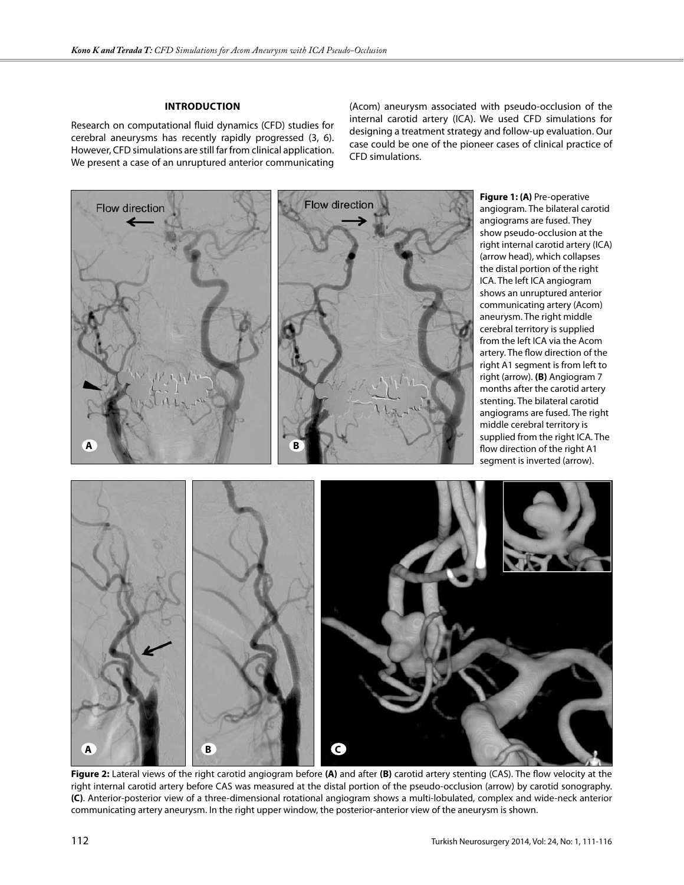#### **Introduction**

Research on computational fluid dynamics (CFD) studies for cerebral aneurysms has recently rapidly progressed (3, 6). However, CFD simulations are still far from clinical application. We present a case of an unruptured anterior communicating (Acom) aneurysm associated with pseudo-occlusion of the internal carotid artery (ICA). We used CFD simulations for designing a treatment strategy and follow-up evaluation. Our case could be one of the pioneer cases of clinical practice of CFD simulations.



**Figure 2:** Lateral views of the right carotid angiogram before **(A)** and after **(B)** carotid artery stenting (CAS). The flow velocity at the right internal carotid artery before CAS was measured at the distal portion of the pseudo-occlusion (arrow) by carotid sonography. **(C)**. Anterior-posterior view of a three-dimensional rotational angiogram shows a multi-lobulated, complex and wide-neck anterior communicating artery aneurysm. In the right upper window, the posterior-anterior view of the aneurysm is shown.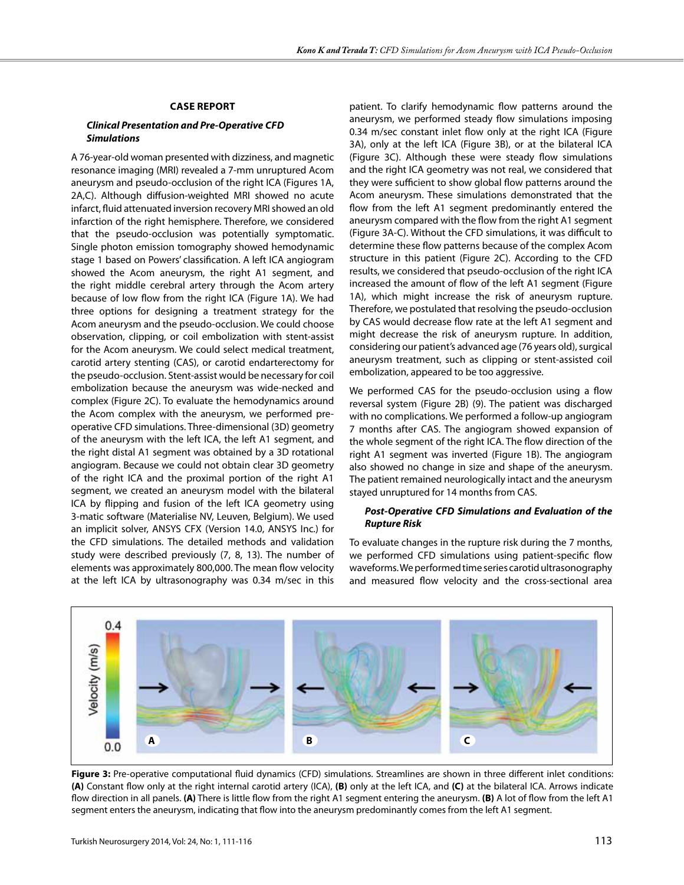#### **Case Report**

## *Clinical Presentation and Pre-Operative Cfd Simulations*

A 76-year-old woman presented with dizziness, and magnetic resonance imaging (MRI) revealed a 7-mm unruptured Acom aneurysm and pseudo-occlusion of the right ICA (Figures 1A, 2A,C). Although diffusion-weighted MRI showed no acute infarct, fluid attenuated inversion recovery MRI showed an old infarction of the right hemisphere. Therefore, we considered that the pseudo-occlusion was potentially symptomatic. Single photon emission tomography showed hemodynamic stage 1 based on Powers' classification. A left ICA angiogram showed the Acom aneurysm, the right A1 segment, and the right middle cerebral artery through the Acom artery because of low flow from the right ICA (Figure 1A). We had three options for designing a treatment strategy for the Acom aneurysm and the pseudo-occlusion. We could choose observation, clipping, or coil embolization with stent-assist for the Acom aneurysm. We could select medical treatment, carotid artery stenting (CAS), or carotid endarterectomy for the pseudo-occlusion. Stent-assist would be necessary for coil embolization because the aneurysm was wide-necked and complex (Figure 2C). To evaluate the hemodynamics around the Acom complex with the aneurysm, we performed preoperative CFD simulations. Three-dimensional (3D) geometry of the aneurysm with the left ICA, the left A1 segment, and the right distal A1 segment was obtained by a 3D rotational angiogram. Because we could not obtain clear 3D geometry of the right ICA and the proximal portion of the right A1 segment, we created an aneurysm model with the bilateral ICA by flipping and fusion of the left ICA geometry using 3-matic software (Materialise NV, Leuven, Belgium). We used an implicit solver, ANSYS CFX (Version 14.0, ANSYS Inc.) for the CFD simulations. The detailed methods and validation study were described previously (7, 8, 13). The number of elements was approximately 800,000. The mean flow velocity at the left ICA by ultrasonography was 0.34 m/sec in this

patient. To clarify hemodynamic flow patterns around the aneurysm, we performed steady flow simulations imposing 0.34 m/sec constant inlet flow only at the right ICA (Figure 3A), only at the left ICA (Figure 3B), or at the bilateral ICA (Figure 3C). Although these were steady flow simulations and the right ICA geometry was not real, we considered that they were sufficient to show global flow patterns around the Acom aneurysm. These simulations demonstrated that the flow from the left A1 segment predominantly entered the aneurysm compared with the flow from the right A1 segment (Figure 3A-C). Without the CFD simulations, it was difficult to determine these flow patterns because of the complex Acom structure in this patient (Figure 2C). According to the CFD results, we considered that pseudo-occlusion of the right ICA increased the amount of flow of the left A1 segment (Figure 1A), which might increase the risk of aneurysm rupture. Therefore, we postulated that resolving the pseudo-occlusion by CAS would decrease flow rate at the left A1 segment and might decrease the risk of aneurysm rupture. In addition, considering our patient's advanced age (76 years old), surgical aneurysm treatment, such as clipping or stent-assisted coil embolization, appeared to be too aggressive.

We performed CAS for the pseudo-occlusion using a flow reversal system (Figure 2B) (9). The patient was discharged with no complications. We performed a follow-up angiogram 7 months after CAS. The angiogram showed expansion of the whole segment of the right ICA. The flow direction of the right A1 segment was inverted (Figure 1B). The angiogram also showed no change in size and shape of the aneurysm. The patient remained neurologically intact and the aneurysm stayed unruptured for 14 months from CAS.

#### *Post-Operative Cfd Simulations and Evaluation of the Rupture Risk*

To evaluate changes in the rupture risk during the 7 months, we performed CFD simulations using patient-specific flow waveforms. We performed time series carotid ultrasonography and measured flow velocity and the cross-sectional area



**Figure 3:** Pre-operative computational fluid dynamics (CFD) simulations. Streamlines are shown in three different inlet conditions: **(A)** Constant flow only at the right internal carotid artery (ICA), **(B)** only at the left ICA, and **(C)** at the bilateral ICA. Arrows indicate flow direction in all panels. **(A)** There is little flow from the right A1 segment entering the aneurysm. **(B)** A lot of flow from the left A1 segment enters the aneurysm, indicating that flow into the aneurysm predominantly comes from the left A1 segment.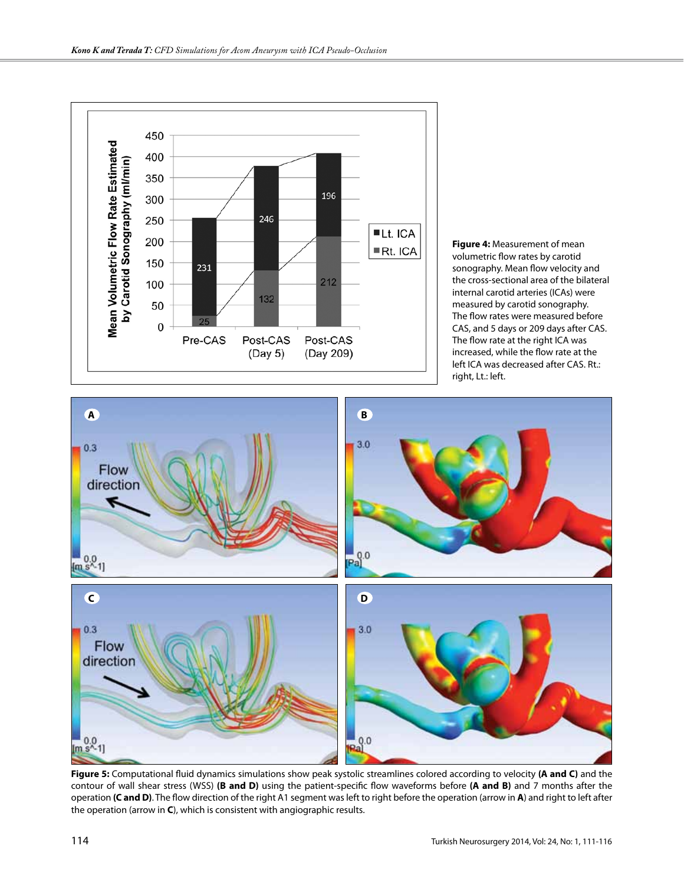

**Figure 4:** Measurement of mean volumetric flow rates by carotid sonography. Mean flow velocity and the cross-sectional area of the bilateral internal carotid arteries (ICAs) were measured by carotid sonography. The flow rates were measured before CAS, and 5 days or 209 days after CAS. The flow rate at the right ICA was increased, while the flow rate at the left ICA was decreased after CAS. Rt.: right, Lt.: left.



**Figure 5:** Computational fluid dynamics simulations show peak systolic streamlines colored according to velocity **(A and C)** and the contour of wall shear stress (WSS) **(B and D)** using the patient-specific flow waveforms before **(A and B)** and 7 months after the operation **(C and D)**. The flow direction of the right A1 segment was left to right before the operation (arrow in **A**) and right to left after the operation (arrow in **C**), which is consistent with angiographic results.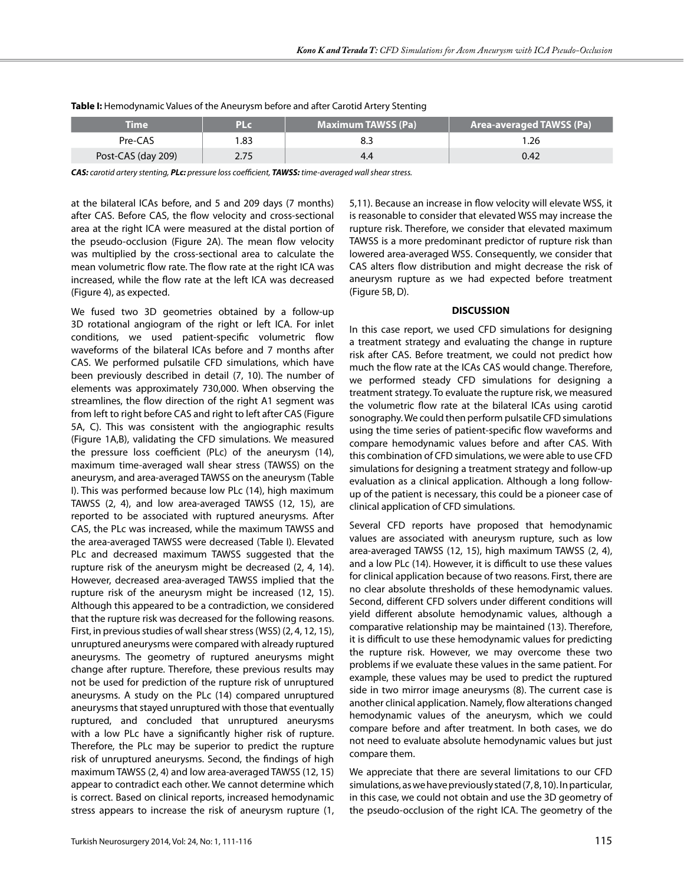| Time               | PLc  | <b>Maximum TAWSS (Pa)</b> | <b>Area-averaged TAWSS (Pa)</b> |
|--------------------|------|---------------------------|---------------------------------|
| Pre-CAS            | .83  |                           | .26                             |
| Post-CAS (day 209) | 2.75 | 4.0                       | 0.42                            |

**Table I:** Hemodynamic Values of the Aneurysm before and after Carotid Artery Stenting

*CAS: carotid artery stenting, PLc: pressure loss coefficient, TAWSS: time-averaged wall shear stress.*

at the bilateral ICAs before, and 5 and 209 days (7 months) after CAS. Before CAS, the flow velocity and cross-sectional area at the right ICA were measured at the distal portion of the pseudo-occlusion (Figure 2A). The mean flow velocity was multiplied by the cross-sectional area to calculate the mean volumetric flow rate. The flow rate at the right ICA was increased, while the flow rate at the left ICA was decreased (Figure 4), as expected.

We fused two 3D geometries obtained by a follow-up 3D rotational angiogram of the right or left ICA. For inlet conditions, we used patient-specific volumetric flow waveforms of the bilateral ICAs before and 7 months after CAS. We performed pulsatile CFD simulations, which have been previously described in detail (7, 10). The number of elements was approximately 730,000. When observing the streamlines, the flow direction of the right A1 segment was from left to right before CAS and right to left after CAS (Figure 5A, C). This was consistent with the angiographic results (Figure 1A,B), validating the CFD simulations. We measured the pressure loss coefficient (PLc) of the aneurysm (14), maximum time-averaged wall shear stress (TAWSS) on the aneurysm, and area-averaged TAWSS on the aneurysm (Table I). This was performed because low PLc (14), high maximum TAWSS (2, 4), and low area-averaged TAWSS (12, 15), are reported to be associated with ruptured aneurysms. After CAS, the PLc was increased, while the maximum TAWSS and the area-averaged TAWSS were decreased (Table I). Elevated PLc and decreased maximum TAWSS suggested that the rupture risk of the aneurysm might be decreased (2, 4, 14). However, decreased area-averaged TAWSS implied that the rupture risk of the aneurysm might be increased (12, 15). Although this appeared to be a contradiction, we considered that the rupture risk was decreased for the following reasons. First, in previous studies of wall shear stress (WSS) (2, 4, 12, 15), unruptured aneurysms were compared with already ruptured aneurysms. The geometry of ruptured aneurysms might change after rupture. Therefore, these previous results may not be used for prediction of the rupture risk of unruptured aneurysms. A study on the PLc (14) compared unruptured aneurysms that stayed unruptured with those that eventually ruptured, and concluded that unruptured aneurysms with a low PLc have a significantly higher risk of rupture. Therefore, the PLc may be superior to predict the rupture risk of unruptured aneurysms. Second, the findings of high maximum TAWSS (2, 4) and low area-averaged TAWSS (12, 15) appear to contradict each other. We cannot determine which is correct. Based on clinical reports, increased hemodynamic stress appears to increase the risk of aneurysm rupture (1,

5,11). Because an increase in flow velocity will elevate WSS, it is reasonable to consider that elevated WSS may increase the rupture risk. Therefore, we consider that elevated maximum TAWSS is a more predominant predictor of rupture risk than lowered area-averaged WSS. Consequently, we consider that CAS alters flow distribution and might decrease the risk of aneurysm rupture as we had expected before treatment (Figure 5B, D).

### **DISCUSSION**

In this case report, we used CFD simulations for designing a treatment strategy and evaluating the change in rupture risk after CAS. Before treatment, we could not predict how much the flow rate at the ICAs CAS would change. Therefore, we performed steady CFD simulations for designing a treatment strategy. To evaluate the rupture risk, we measured the volumetric flow rate at the bilateral ICAs using carotid sonography. We could then perform pulsatile CFD simulations using the time series of patient-specific flow waveforms and compare hemodynamic values before and after CAS. With this combination of CFD simulations, we were able to use CFD simulations for designing a treatment strategy and follow-up evaluation as a clinical application. Although a long followup of the patient is necessary, this could be a pioneer case of clinical application of CFD simulations.

Several CFD reports have proposed that hemodynamic values are associated with aneurysm rupture, such as low area-averaged TAWSS (12, 15), high maximum TAWSS (2, 4), and a low PLc (14). However, it is difficult to use these values for clinical application because of two reasons. First, there are no clear absolute thresholds of these hemodynamic values. Second, different CFD solvers under different conditions will yield different absolute hemodynamic values, although a comparative relationship may be maintained (13). Therefore, it is difficult to use these hemodynamic values for predicting the rupture risk. However, we may overcome these two problems if we evaluate these values in the same patient. For example, these values may be used to predict the ruptured side in two mirror image aneurysms (8). The current case is another clinical application. Namely, flow alterations changed hemodynamic values of the aneurysm, which we could compare before and after treatment. In both cases, we do not need to evaluate absolute hemodynamic values but just compare them.

We appreciate that there are several limitations to our CFD simulations, as we have previously stated (7, 8, 10). In particular, in this case, we could not obtain and use the 3D geometry of the pseudo-occlusion of the right ICA. The geometry of the